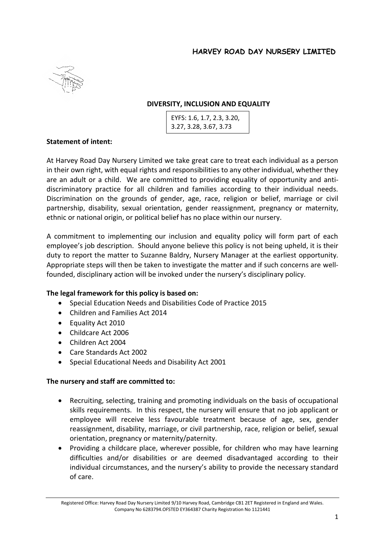

# **DIVERSITY, INCLUSION AND EQUALITY**

| EYFS: 1.6, 1.7, 2.3, 3.20, |
|----------------------------|
| 3.27, 3.28, 3.67, 3.73     |

### **Statement of intent:**

At Harvey Road Day Nursery Limited we take great care to treat each individual as a person in their own right, with equal rights and responsibilities to any other individual, whether they are an adult or a child. We are committed to providing equality of opportunity and antidiscriminatory practice for all children and families according to their individual needs. Discrimination on the grounds of gender, age, race, religion or belief, marriage or civil partnership, disability, sexual orientation, gender reassignment, pregnancy or maternity, ethnic or national origin, or political belief has no place within our nursery.

A commitment to implementing our inclusion and equality policy will form part of each employee's job description. Should anyone believe this policy is not being upheld, it is their duty to report the matter to Suzanne Baldry, Nursery Manager at the earliest opportunity. Appropriate steps will then be taken to investigate the matter and if such concerns are wellfounded, disciplinary action will be invoked under the nursery's disciplinary policy.

### **The legal framework for this policy is based on:**

- Special Education Needs and Disabilities Code of Practice 2015
- Children and Families Act 2014
- Equality Act 2010
- Childcare Act 2006
- Children Act 2004
- Care Standards Act 2002
- Special Educational Needs and Disability Act 2001

### **The nursery and staff are committed to:**

- Recruiting, selecting, training and promoting individuals on the basis of occupational skills requirements. In this respect, the nursery will ensure that no job applicant or employee will receive less favourable treatment because of age, sex, gender reassignment, disability, marriage, or civil partnership, race, religion or belief, sexual orientation, pregnancy or maternity/paternity.
- Providing a childcare place, wherever possible, for children who may have learning difficulties and/or disabilities or are deemed disadvantaged according to their individual circumstances, and the nursery's ability to provide the necessary standard of care.

Registered Office: Harvey Road Day Nursery Limited 9/10 Harvey Road, Cambridge CB1 2ET Registered in England and Wales. Company No 6283794.OFSTED EY364387 Charity Registration No 1121441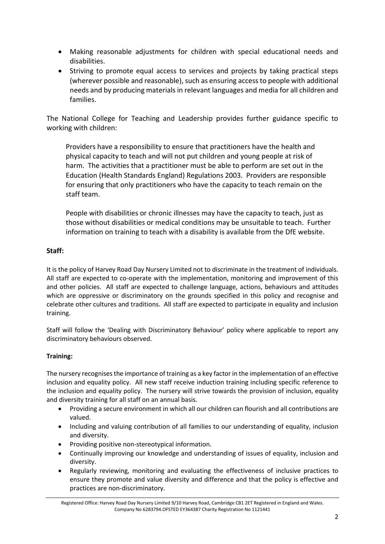- Making reasonable adjustments for children with special educational needs and disabilities.
- Striving to promote equal access to services and projects by taking practical steps (wherever possible and reasonable), such as ensuring access to people with additional needs and by producing materials in relevant languages and media for all children and families.

The National College for Teaching and Leadership provides further guidance specific to working with children:

 Providers have a responsibility to ensure that practitioners have the health and physical capacity to teach and will not put children and young people at risk of harm. The activities that a practitioner must be able to perform are set out in the Education (Health Standards England) Regulations 2003. Providers are responsible for ensuring that only practitioners who have the capacity to teach remain on the staff team.

 People with disabilities or chronic illnesses may have the capacity to teach, just as those without disabilities or medical conditions may be unsuitable to teach. Further information on training to teach with a disability is available from the DfE website.

# **Staff:**

It is the policy of Harvey Road Day Nursery Limited not to discriminate in the treatment of individuals. All staff are expected to co-operate with the implementation, monitoring and improvement of this and other policies. All staff are expected to challenge language, actions, behaviours and attitudes which are oppressive or discriminatory on the grounds specified in this policy and recognise and celebrate other cultures and traditions. All staff are expected to participate in equality and inclusion training.

Staff will follow the 'Dealing with Discriminatory Behaviour' policy where applicable to report any discriminatory behaviours observed.

# **Training:**

The nursery recognisesthe importance of training as a key factor in the implementation of an effective inclusion and equality policy. All new staff receive induction training including specific reference to the inclusion and equality policy. The nursery will strive towards the provision of inclusion, equality and diversity training for all staff on an annual basis.

- Providing a secure environment in which all our children can flourish and all contributions are valued.
- Including and valuing contribution of all families to our understanding of equality, inclusion and diversity.
- Providing positive non-stereotypical information.
- Continually improving our knowledge and understanding of issues of equality, inclusion and diversity.
- Regularly reviewing, monitoring and evaluating the effectiveness of inclusive practices to ensure they promote and value diversity and difference and that the policy is effective and practices are non-discriminatory.

Registered Office: Harvey Road Day Nursery Limited 9/10 Harvey Road, Cambridge CB1 2ET Registered in England and Wales. Company No 6283794.OFSTED EY364387 Charity Registration No 1121441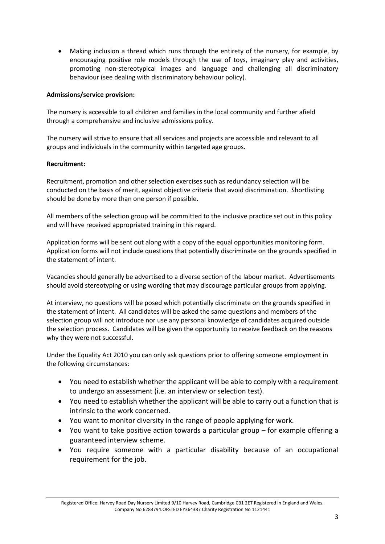• Making inclusion a thread which runs through the entirety of the nursery, for example, by encouraging positive role models through the use of toys, imaginary play and activities, promoting non-stereotypical images and language and challenging all discriminatory behaviour (see dealing with discriminatory behaviour policy).

### **Admissions/service provision:**

The nursery is accessible to all children and families in the local community and further afield through a comprehensive and inclusive admissions policy.

The nursery will strive to ensure that all services and projects are accessible and relevant to all groups and individuals in the community within targeted age groups.

### **Recruitment:**

Recruitment, promotion and other selection exercises such as redundancy selection will be conducted on the basis of merit, against objective criteria that avoid discrimination. Shortlisting should be done by more than one person if possible.

All members of the selection group will be committed to the inclusive practice set out in this policy and will have received appropriated training in this regard.

Application forms will be sent out along with a copy of the equal opportunities monitoring form. Application forms will not include questions that potentially discriminate on the grounds specified in the statement of intent.

Vacancies should generally be advertised to a diverse section of the labour market. Advertisements should avoid stereotyping or using wording that may discourage particular groups from applying.

At interview, no questions will be posed which potentially discriminate on the grounds specified in the statement of intent. All candidates will be asked the same questions and members of the selection group will not introduce nor use any personal knowledge of candidates acquired outside the selection process. Candidates will be given the opportunity to receive feedback on the reasons why they were not successful.

Under the Equality Act 2010 you can only ask questions prior to offering someone employment in the following circumstances:

- You need to establish whether the applicant will be able to comply with a requirement to undergo an assessment (i.e. an interview or selection test).
- You need to establish whether the applicant will be able to carry out a function that is intrinsic to the work concerned.
- You want to monitor diversity in the range of people applying for work.
- You want to take positive action towards a particular group for example offering a guaranteed interview scheme.
- You require someone with a particular disability because of an occupational requirement for the job.

Registered Office: Harvey Road Day Nursery Limited 9/10 Harvey Road, Cambridge CB1 2ET Registered in England and Wales. Company No 6283794.OFSTED EY364387 Charity Registration No 1121441